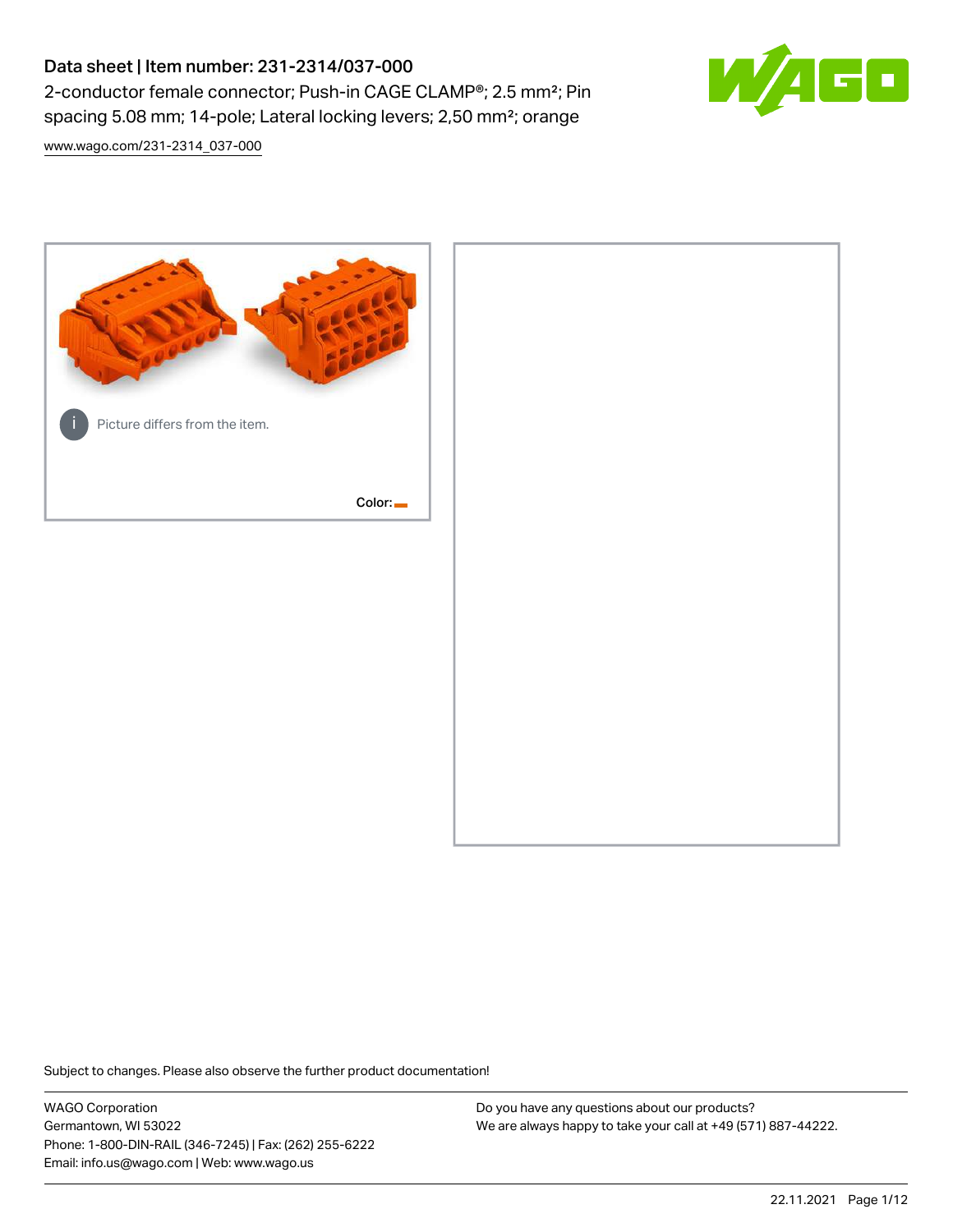# Data sheet | Item number: 231-2314/037-000 2-conductor female connector; Push-in CAGE CLAMP®; 2.5 mm²; Pin spacing 5.08 mm; 14-pole; Lateral locking levers; 2,50 mm²; orange

[www.wago.com/231-2314\\_037-000](http://www.wago.com/231-2314_037-000)



Subject to changes. Please also observe the further product documentation!

WAGO Corporation Germantown, WI 53022 Phone: 1-800-DIN-RAIL (346-7245) | Fax: (262) 255-6222 Email: info.us@wago.com | Web: www.wago.us

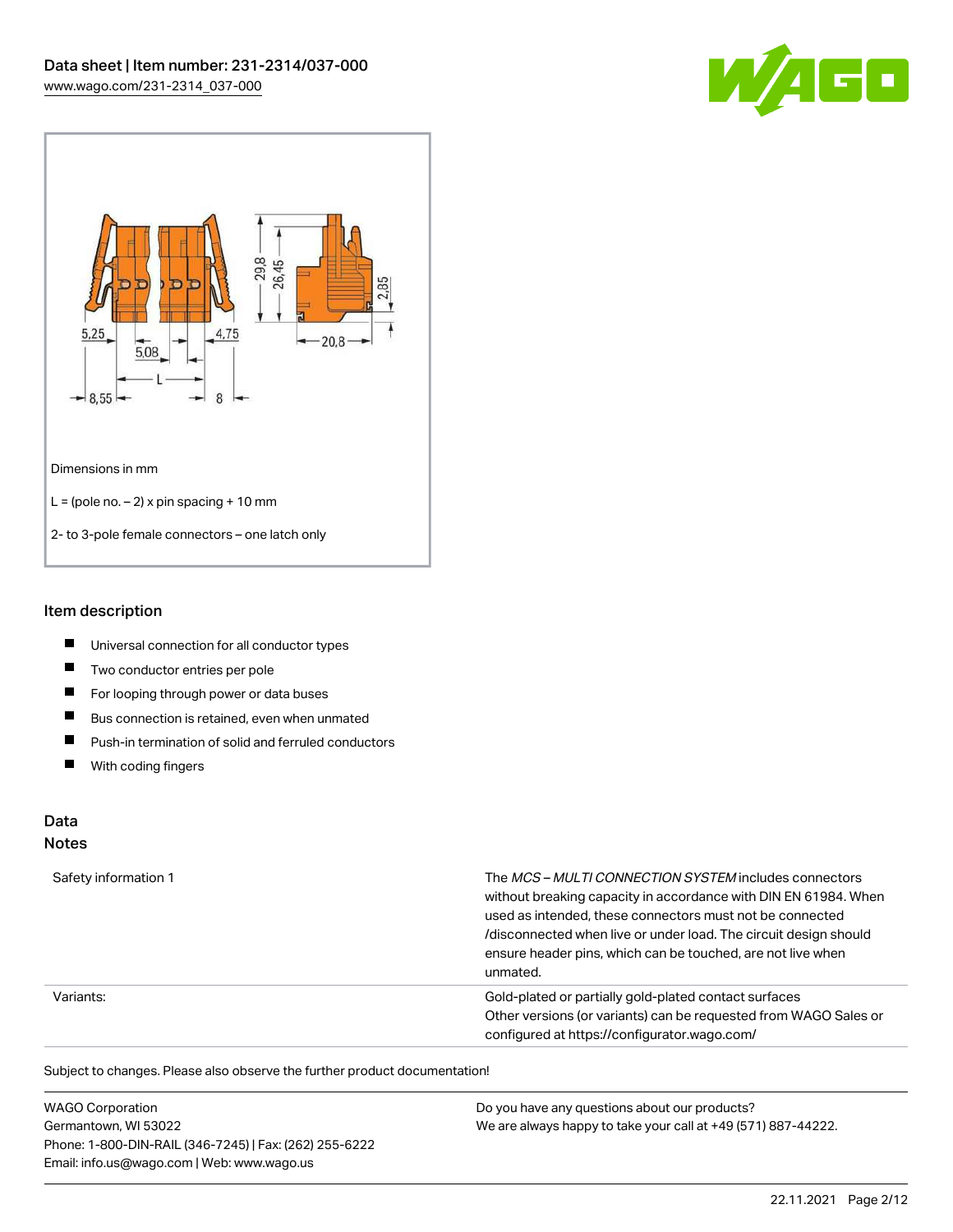



#### Item description

- $\blacksquare$ Universal connection for all conductor types
- $\blacksquare$ Two conductor entries per pole
- $\blacksquare$ For looping through power or data buses
- $\blacksquare$ Bus connection is retained, even when unmated
- $\blacksquare$ Push-in termination of solid and ferruled conductors
- $\blacksquare$ With coding fingers

# Data

#### Notes

| Safety information 1 | The MCS-MULTI CONNECTION SYSTEM includes connectors<br>without breaking capacity in accordance with DIN EN 61984. When<br>used as intended, these connectors must not be connected<br>/disconnected when live or under load. The circuit design should<br>ensure header pins, which can be touched, are not live when<br>unmated. |
|----------------------|-----------------------------------------------------------------------------------------------------------------------------------------------------------------------------------------------------------------------------------------------------------------------------------------------------------------------------------|
| Variants:            | Gold-plated or partially gold-plated contact surfaces<br>Other versions (or variants) can be requested from WAGO Sales or<br>configured at https://configurator.wago.com/                                                                                                                                                         |

Subject to changes. Please also observe the further product documentation!

| <b>WAGO Corporation</b>                                | Do you have any questions about our products?                 |
|--------------------------------------------------------|---------------------------------------------------------------|
| Germantown, WI 53022                                   | We are always happy to take your call at +49 (571) 887-44222. |
| Phone: 1-800-DIN-RAIL (346-7245)   Fax: (262) 255-6222 |                                                               |
| Email: info.us@wago.com   Web: www.wago.us             |                                                               |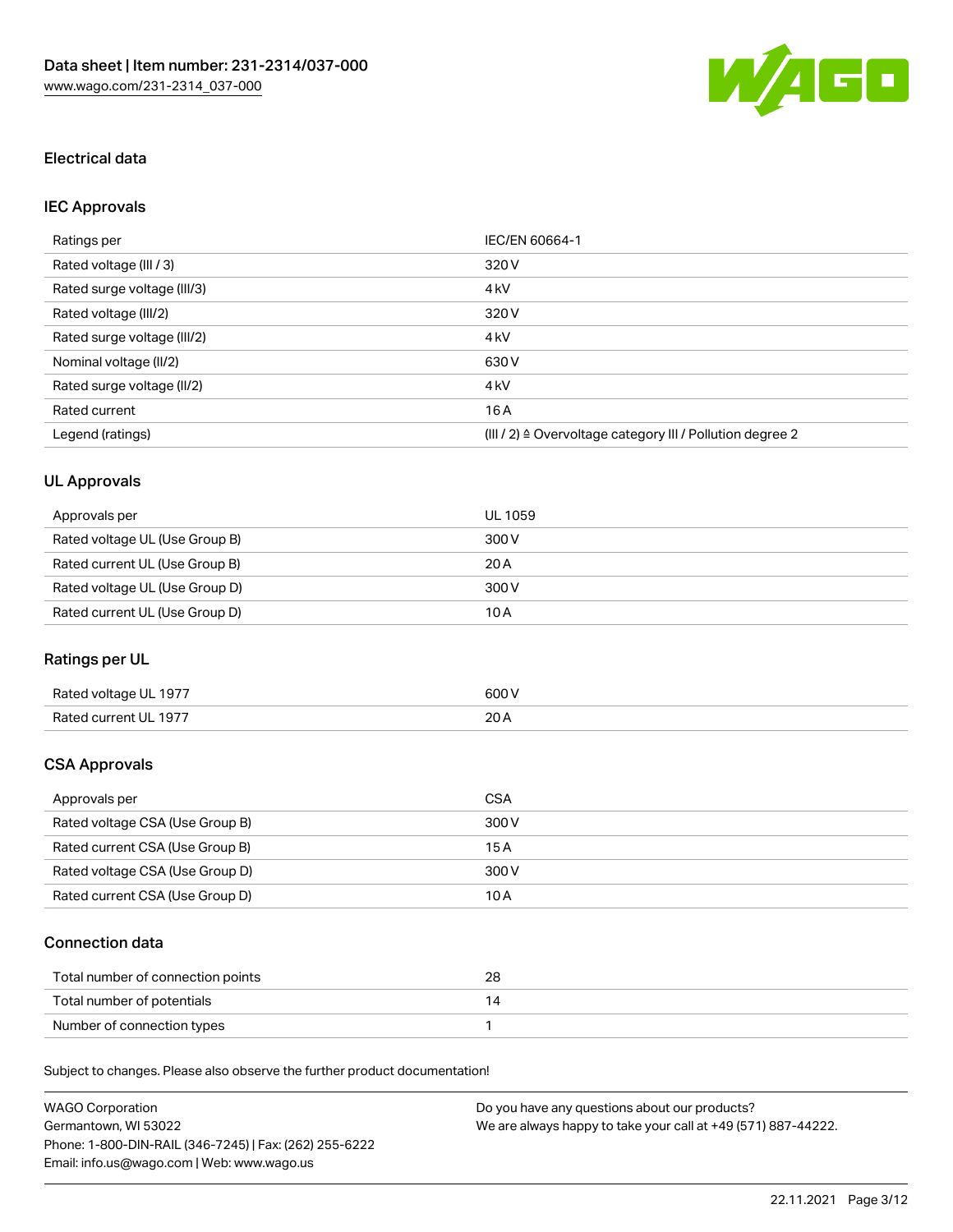

### Electrical data

# IEC Approvals

| Ratings per                 | IEC/EN 60664-1                                                        |
|-----------------------------|-----------------------------------------------------------------------|
| Rated voltage (III / 3)     | 320 V                                                                 |
| Rated surge voltage (III/3) | 4 <sub>k</sub> V                                                      |
| Rated voltage (III/2)       | 320 V                                                                 |
| Rated surge voltage (III/2) | 4 <sub>k</sub> V                                                      |
| Nominal voltage (II/2)      | 630 V                                                                 |
| Rated surge voltage (II/2)  | 4 <sub>k</sub> V                                                      |
| Rated current               | 16A                                                                   |
| Legend (ratings)            | $(III / 2)$ $\triangle$ Overvoltage category III / Pollution degree 2 |

# UL Approvals

| Approvals per                  | UL 1059 |
|--------------------------------|---------|
| Rated voltage UL (Use Group B) | 300 V   |
| Rated current UL (Use Group B) | 20 A    |
| Rated voltage UL (Use Group D) | 300 V   |
| Rated current UL (Use Group D) | 10 A    |

## Ratings per UL

| Rated voltage UL 1977 | 600 V       |
|-----------------------|-------------|
| Rated current UL 1977 | 20h<br>20 A |

### CSA Approvals

| Approvals per                   | CSA   |
|---------------------------------|-------|
| Rated voltage CSA (Use Group B) | 300 V |
| Rated current CSA (Use Group B) | 15 A  |
| Rated voltage CSA (Use Group D) | 300 V |
| Rated current CSA (Use Group D) | 10 A  |

### Connection data

| Total number of connection points | 28 |
|-----------------------------------|----|
| Total number of potentials        |    |
| Number of connection types        |    |

Subject to changes. Please also observe the further product documentation!

| <b>WAGO Corporation</b>                                | Do you have any questions about our products?                 |
|--------------------------------------------------------|---------------------------------------------------------------|
| Germantown. WI 53022                                   | We are always happy to take your call at +49 (571) 887-44222. |
| Phone: 1-800-DIN-RAIL (346-7245)   Fax: (262) 255-6222 |                                                               |
| Email: info.us@wago.com   Web: www.wago.us             |                                                               |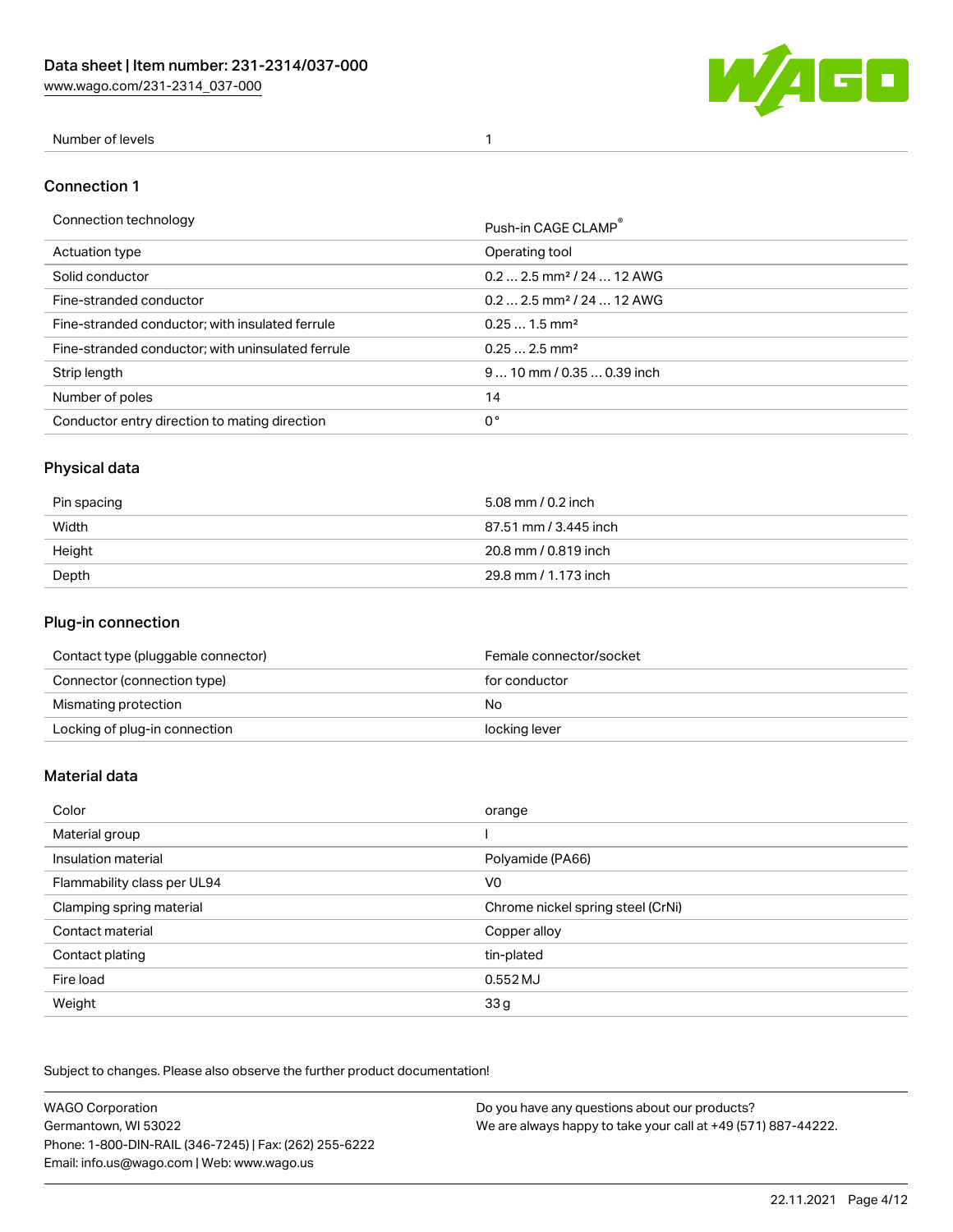[www.wago.com/231-2314\\_037-000](http://www.wago.com/231-2314_037-000)



#### Number of levels 1

#### Connection 1

| Connection technology                             | Push-in CAGE CLAMP®                   |
|---------------------------------------------------|---------------------------------------|
| Actuation type                                    | Operating tool                        |
| Solid conductor                                   | $0.22.5$ mm <sup>2</sup> / 24  12 AWG |
| Fine-stranded conductor                           | $0.22.5$ mm <sup>2</sup> / 24  12 AWG |
| Fine-stranded conductor; with insulated ferrule   | $0.251.5$ mm <sup>2</sup>             |
| Fine-stranded conductor; with uninsulated ferrule | $0.252.5$ mm <sup>2</sup>             |
| Strip length                                      | $910$ mm / 0.35  0.39 inch            |
| Number of poles                                   | 14                                    |
| Conductor entry direction to mating direction     | 0°                                    |
|                                                   |                                       |

# Physical data

| Pin spacing | 5.08 mm / 0.2 inch    |
|-------------|-----------------------|
| Width       | 87.51 mm / 3.445 inch |
| Height      | 20.8 mm / 0.819 inch  |
| Depth       | 29.8 mm / 1.173 inch  |

### Plug-in connection

| Contact type (pluggable connector) | Female connector/socket |
|------------------------------------|-------------------------|
| Connector (connection type)        | for conductor           |
| Mismating protection               | No.                     |
| Locking of plug-in connection      | locking lever           |

#### Material data

| Color                       | orange                            |
|-----------------------------|-----------------------------------|
| Material group              |                                   |
| Insulation material         | Polyamide (PA66)                  |
| Flammability class per UL94 | V <sub>0</sub>                    |
| Clamping spring material    | Chrome nickel spring steel (CrNi) |
| Contact material            | Copper alloy                      |
| Contact plating             | tin-plated                        |
| Fire load                   | 0.552 MJ                          |
| Weight                      | 33 g                              |

Subject to changes. Please also observe the further product documentation!

| <b>WAGO Corporation</b>                                | Do you have any questions about our products?                 |
|--------------------------------------------------------|---------------------------------------------------------------|
| Germantown, WI 53022                                   | We are always happy to take your call at +49 (571) 887-44222. |
| Phone: 1-800-DIN-RAIL (346-7245)   Fax: (262) 255-6222 |                                                               |
| Email: info.us@wago.com   Web: www.wago.us             |                                                               |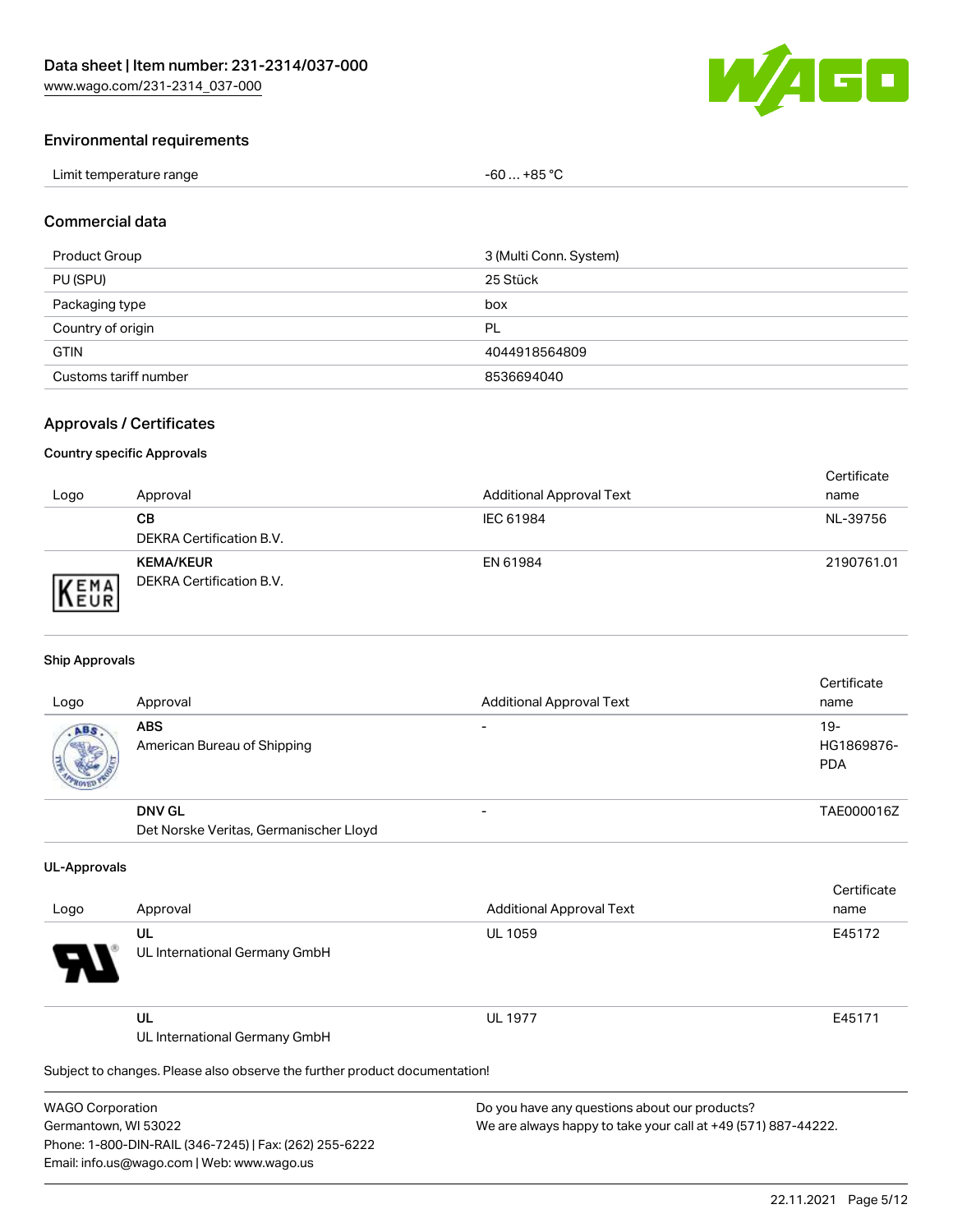

#### Environmental requirements

| Limit temperature range | +85 °C<br>-60<br>$\sim$<br>___ |
|-------------------------|--------------------------------|
|-------------------------|--------------------------------|

#### Commercial data

| Product Group         | 3 (Multi Conn. System) |
|-----------------------|------------------------|
| PU (SPU)              | 25 Stück               |
| Packaging type        | box                    |
| Country of origin     | PL                     |
| <b>GTIN</b>           | 4044918564809          |
| Customs tariff number | 8536694040             |

### Approvals / Certificates

#### Country specific Approvals

| Logo                | Approval                                            | <b>Additional Approval Text</b> | Certificate<br>name |
|---------------------|-----------------------------------------------------|---------------------------------|---------------------|
|                     | CВ<br>DEKRA Certification B.V.                      | IEC 61984                       | NL-39756            |
| EMA<br><b>INEUR</b> | <b>KEMA/KEUR</b><br><b>DEKRA Certification B.V.</b> | EN 61984                        | 2190761.01          |

#### Ship Approvals

| Logo | Approval                                  | <b>Additional Approval Text</b> | Certificate<br>name                |
|------|-------------------------------------------|---------------------------------|------------------------------------|
| ABS  | <b>ABS</b><br>American Bureau of Shipping |                                 | $19 -$<br>HG1869876-<br><b>PDA</b> |
|      | <b>DNV GL</b>                             |                                 | TAE000016Z                         |
|      | Det Norske Veritas, Germanischer Lloyd    |                                 |                                    |

#### UL-Approvals

| Logo     | Approval                            | <b>Additional Approval Text</b> | Certificate<br>name |
|----------|-------------------------------------|---------------------------------|---------------------|
| Ъ.<br>77 | UL<br>UL International Germany GmbH | <b>UL 1059</b>                  | E45172              |
|          | UL<br>UL International Germany GmbH | <b>UL 1977</b>                  | E45171              |

Subject to changes. Please also observe the further product documentation!

| <b>WAGO Corporation</b>                                |
|--------------------------------------------------------|
| Germantown, WI 53022                                   |
| Phone: 1-800-DIN-RAIL (346-7245)   Fax: (262) 255-6222 |
| Email: info.us@wago.com   Web: www.wago.us             |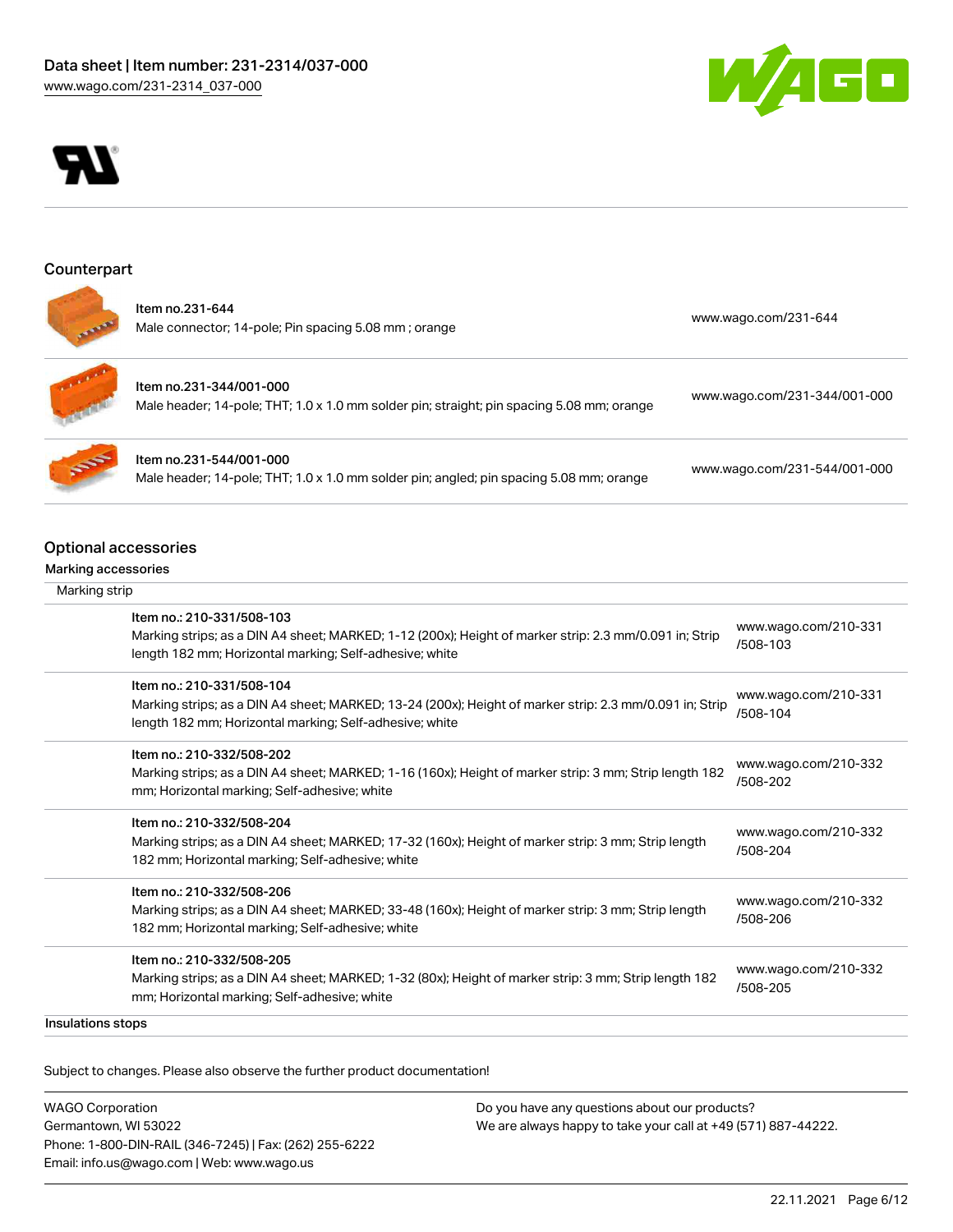



### Counterpart



Item no.231-644 Male connector; 14-pole; Pin spacing 5.08 mm ; orange [www.wago.com/231-644](https://www.wago.com/231-644)

Item no.231-344/001-000 Male header; 14-pole; THT; 1.0 x 1.0 mm solder pin; straight; pin spacing 5.08 mm; orange [www.wago.com/231-344/001-000](https://www.wago.com/231-344/001-000)

Item no.231-544/001-000 Male header; 14-pole; THT; 1.0 x 1.0 mm solder pin; angled; pin spacing 5.08 mm; orange [www.wago.com/231-544/001-000](https://www.wago.com/231-544/001-000)

### Optional accessories

#### Marking accessories

| Marking strip |                                                                                                                                                                                                 |                                  |
|---------------|-------------------------------------------------------------------------------------------------------------------------------------------------------------------------------------------------|----------------------------------|
|               | Item no.: 210-331/508-103<br>Marking strips; as a DIN A4 sheet; MARKED; 1-12 (200x); Height of marker strip: 2.3 mm/0.091 in; Strip<br>length 182 mm; Horizontal marking; Self-adhesive; white  | www.wago.com/210-331<br>/508-103 |
|               | Item no.: 210-331/508-104<br>Marking strips; as a DIN A4 sheet; MARKED; 13-24 (200x); Height of marker strip: 2.3 mm/0.091 in; Strip<br>length 182 mm; Horizontal marking; Self-adhesive; white | www.wago.com/210-331<br>/508-104 |
|               | Item no.: 210-332/508-202<br>Marking strips; as a DIN A4 sheet; MARKED; 1-16 (160x); Height of marker strip: 3 mm; Strip length 182<br>mm; Horizontal marking; Self-adhesive; white             | www.wago.com/210-332<br>/508-202 |
|               | Item no.: 210-332/508-204<br>Marking strips; as a DIN A4 sheet; MARKED; 17-32 (160x); Height of marker strip: 3 mm; Strip length<br>182 mm; Horizontal marking; Self-adhesive; white            | www.wago.com/210-332<br>/508-204 |
|               | Item no.: 210-332/508-206<br>Marking strips; as a DIN A4 sheet; MARKED; 33-48 (160x); Height of marker strip: 3 mm; Strip length<br>182 mm; Horizontal marking; Self-adhesive; white            | www.wago.com/210-332<br>/508-206 |
|               | Item no.: 210-332/508-205<br>Marking strips; as a DIN A4 sheet; MARKED; 1-32 (80x); Height of marker strip: 3 mm; Strip length 182<br>mm; Horizontal marking; Self-adhesive; white              | www.wago.com/210-332<br>/508-205 |

Insulations stops

.<br>Subject to changes. Please also observe the further product documentation!

| <b>WAGO Corporation</b>                                |
|--------------------------------------------------------|
| Germantown, WI 53022                                   |
| Phone: 1-800-DIN-RAIL (346-7245)   Fax: (262) 255-6222 |
| Email: info.us@wago.com   Web: www.wago.us             |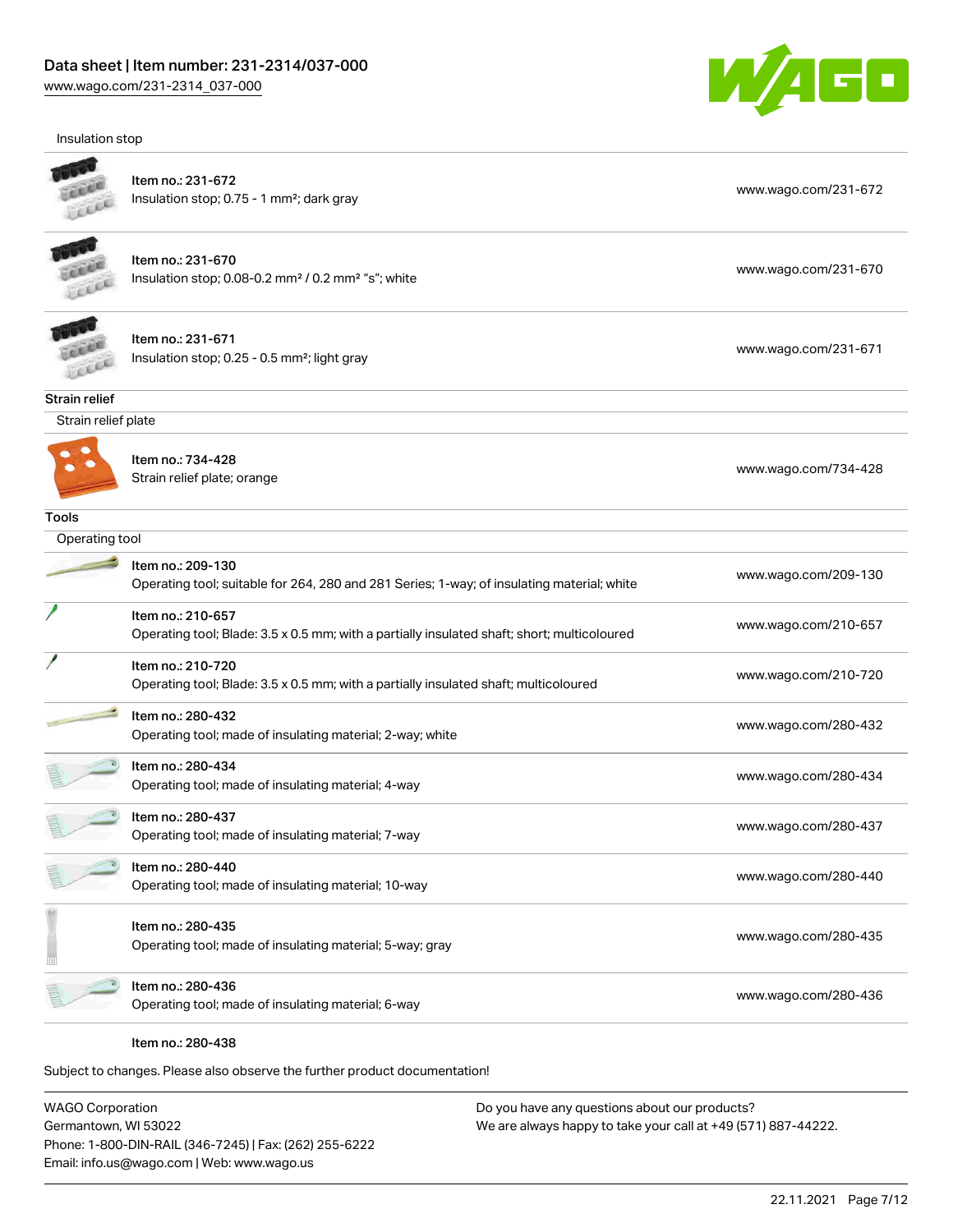Insulation stop



| <b>INSURGEDIT SLOP</b> |                                                                                                                  |                      |
|------------------------|------------------------------------------------------------------------------------------------------------------|----------------------|
|                        | Item no.: 231-672<br>Insulation stop; 0.75 - 1 mm <sup>2</sup> ; dark gray                                       | www.wago.com/231-672 |
|                        | Item no.: 231-670<br>Insulation stop; 0.08-0.2 mm <sup>2</sup> / 0.2 mm <sup>2</sup> "s"; white                  | www.wago.com/231-670 |
|                        | Item no.: 231-671<br>Insulation stop; 0.25 - 0.5 mm <sup>2</sup> ; light gray                                    | www.wago.com/231-671 |
| Strain relief          |                                                                                                                  |                      |
| Strain relief plate    |                                                                                                                  |                      |
|                        | Item no.: 734-428<br>Strain relief plate; orange                                                                 | www.wago.com/734-428 |
| <b>Tools</b>           |                                                                                                                  |                      |
| Operating tool         |                                                                                                                  |                      |
|                        | Item no.: 209-130<br>Operating tool; suitable for 264, 280 and 281 Series; 1-way; of insulating material; white  | www.wago.com/209-130 |
|                        | Item no.: 210-657<br>Operating tool; Blade: 3.5 x 0.5 mm; with a partially insulated shaft; short; multicoloured | www.wago.com/210-657 |
|                        | Item no.: 210-720<br>Operating tool; Blade: 3.5 x 0.5 mm; with a partially insulated shaft; multicoloured        | www.wago.com/210-720 |
|                        | Item no.: 280-432<br>Operating tool; made of insulating material; 2-way; white                                   | www.wago.com/280-432 |
|                        | Item no.: 280-434<br>Operating tool; made of insulating material; 4-way                                          | www.wago.com/280-434 |
|                        | Item no.: 280-437<br>Operating tool; made of insulating material; 7-way                                          | www.wago.com/280-437 |
|                        | Item no.: 280-440<br>Operating tool; made of insulating material; 10-way                                         | www.wago.com/280-440 |
|                        | Item no.: 280-435<br>Operating tool; made of insulating material; 5-way; gray                                    | www.wago.com/280-435 |
|                        | Item no.: 280-436<br>Operating tool; made of insulating material; 6-way                                          | www.wago.com/280-436 |
|                        | Item no.: 280-438                                                                                                |                      |

Subject to changes. Please also observe the further product documentation!

WAGO Corporation Germantown, WI 53022 Phone: 1-800-DIN-RAIL (346-7245) | Fax: (262) 255-6222 Email: info.us@wago.com | Web: www.wago.us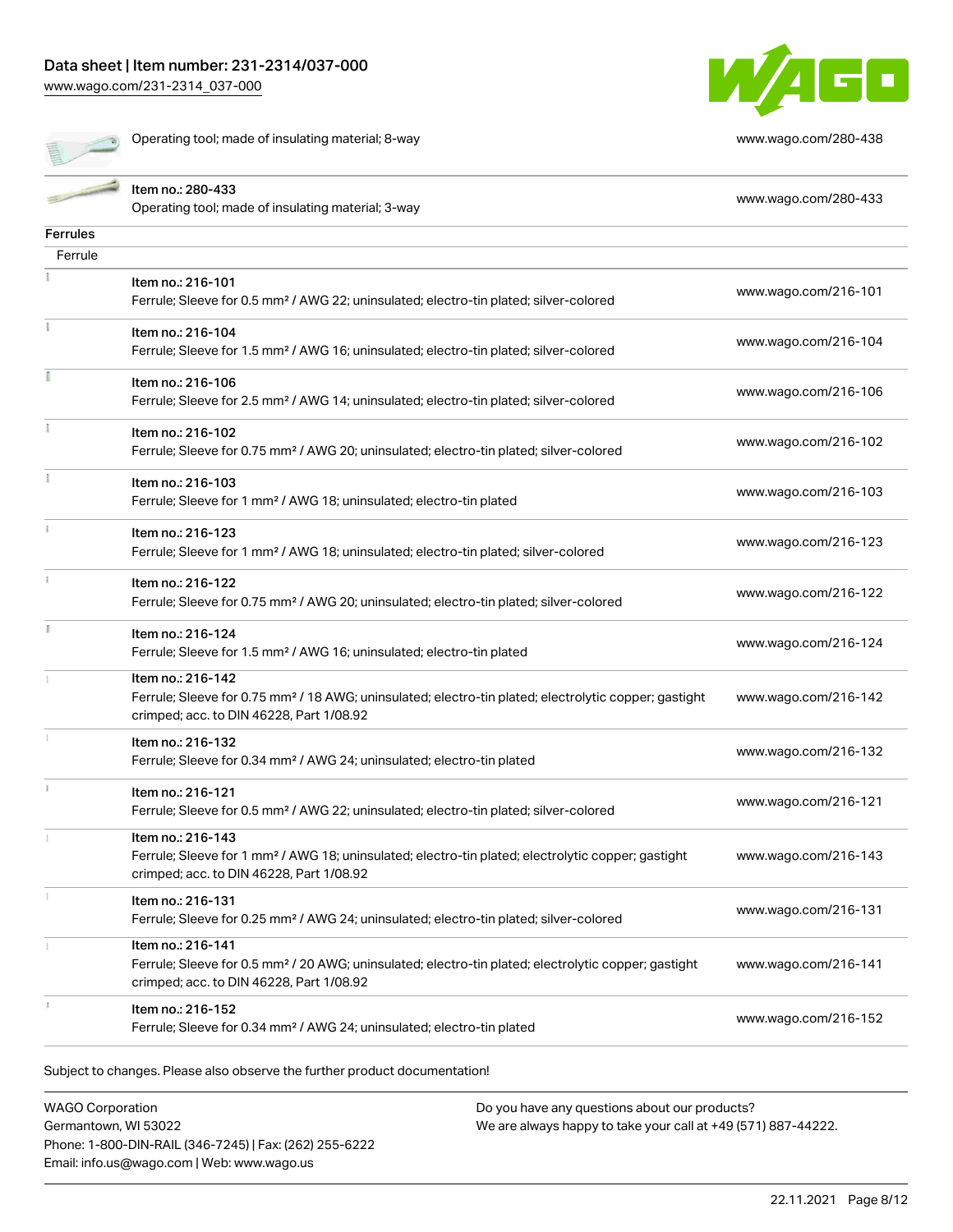operating tool; made of insulating material; 8-way [www.wago.com/280-438](http://www.wago.com/280-438)



|                 | Item no.: 280-433                                                                                                                                             | www.wago.com/280-433 |
|-----------------|---------------------------------------------------------------------------------------------------------------------------------------------------------------|----------------------|
|                 | Operating tool; made of insulating material; 3-way                                                                                                            |                      |
| <b>Ferrules</b> |                                                                                                                                                               |                      |
| Ferrule         |                                                                                                                                                               |                      |
|                 | Item no.: 216-101                                                                                                                                             |                      |
|                 | Ferrule; Sleeve for 0.5 mm <sup>2</sup> / AWG 22; uninsulated; electro-tin plated; silver-colored                                                             | www.wago.com/216-101 |
|                 | Item no.: 216-104                                                                                                                                             |                      |
|                 | Ferrule; Sleeve for 1.5 mm <sup>2</sup> / AWG 16; uninsulated; electro-tin plated; silver-colored                                                             | www.wago.com/216-104 |
|                 | Item no.: 216-106                                                                                                                                             |                      |
|                 | Ferrule; Sleeve for 2.5 mm <sup>2</sup> / AWG 14; uninsulated; electro-tin plated; silver-colored                                                             | www.wago.com/216-106 |
|                 |                                                                                                                                                               |                      |
|                 | Item no.: 216-102                                                                                                                                             | www.wago.com/216-102 |
|                 | Ferrule; Sleeve for 0.75 mm <sup>2</sup> / AWG 20; uninsulated; electro-tin plated; silver-colored                                                            |                      |
|                 | Item no.: 216-103                                                                                                                                             | www.wago.com/216-103 |
|                 | Ferrule; Sleeve for 1 mm <sup>2</sup> / AWG 18; uninsulated; electro-tin plated                                                                               |                      |
|                 | Item no.: 216-123                                                                                                                                             |                      |
|                 | Ferrule; Sleeve for 1 mm <sup>2</sup> / AWG 18; uninsulated; electro-tin plated; silver-colored                                                               | www.wago.com/216-123 |
|                 | Item no.: 216-122                                                                                                                                             |                      |
|                 | Ferrule; Sleeve for 0.75 mm <sup>2</sup> / AWG 20; uninsulated; electro-tin plated; silver-colored                                                            | www.wago.com/216-122 |
|                 |                                                                                                                                                               |                      |
|                 | Item no.: 216-124<br>Ferrule; Sleeve for 1.5 mm <sup>2</sup> / AWG 16; uninsulated; electro-tin plated                                                        | www.wago.com/216-124 |
|                 |                                                                                                                                                               |                      |
|                 | Item no.: 216-142                                                                                                                                             |                      |
|                 | Ferrule; Sleeve for 0.75 mm <sup>2</sup> / 18 AWG; uninsulated; electro-tin plated; electrolytic copper; gastight<br>crimped; acc. to DIN 46228, Part 1/08.92 | www.wago.com/216-142 |
|                 | Item no.: 216-132                                                                                                                                             |                      |
|                 | Ferrule; Sleeve for 0.34 mm <sup>2</sup> / AWG 24; uninsulated; electro-tin plated                                                                            | www.wago.com/216-132 |
|                 |                                                                                                                                                               |                      |
|                 | Item no.: 216-121                                                                                                                                             | www.wago.com/216-121 |
|                 | Ferrule; Sleeve for 0.5 mm <sup>2</sup> / AWG 22; uninsulated; electro-tin plated; silver-colored                                                             |                      |
|                 | Item no.: 216-143                                                                                                                                             |                      |
|                 | Ferrule; Sleeve for 1 mm <sup>2</sup> / AWG 18; uninsulated; electro-tin plated; electrolytic copper; gastight                                                | www.wago.com/216-143 |
|                 | crimped; acc. to DIN 46228, Part 1/08.92                                                                                                                      |                      |
|                 | Item no.: 216-131                                                                                                                                             | www.wago.com/216-131 |
|                 | Ferrule; Sleeve for 0.25 mm <sup>2</sup> / AWG 24; uninsulated; electro-tin plated; silver-colored                                                            |                      |
|                 | Item no.: 216-141                                                                                                                                             |                      |
|                 | Ferrule; Sleeve for 0.5 mm <sup>2</sup> / 20 AWG; uninsulated; electro-tin plated; electrolytic copper; gastight                                              | www.wago.com/216-141 |
|                 | crimped; acc. to DIN 46228, Part 1/08.92                                                                                                                      |                      |
|                 | Item no.: 216-152                                                                                                                                             | www.wago.com/216-152 |
|                 | Ferrule; Sleeve for 0.34 mm <sup>2</sup> / AWG 24; uninsulated; electro-tin plated                                                                            |                      |

WAGO Corporation Germantown, WI 53022 Phone: 1-800-DIN-RAIL (346-7245) | Fax: (262) 255-6222 Email: info.us@wago.com | Web: www.wago.us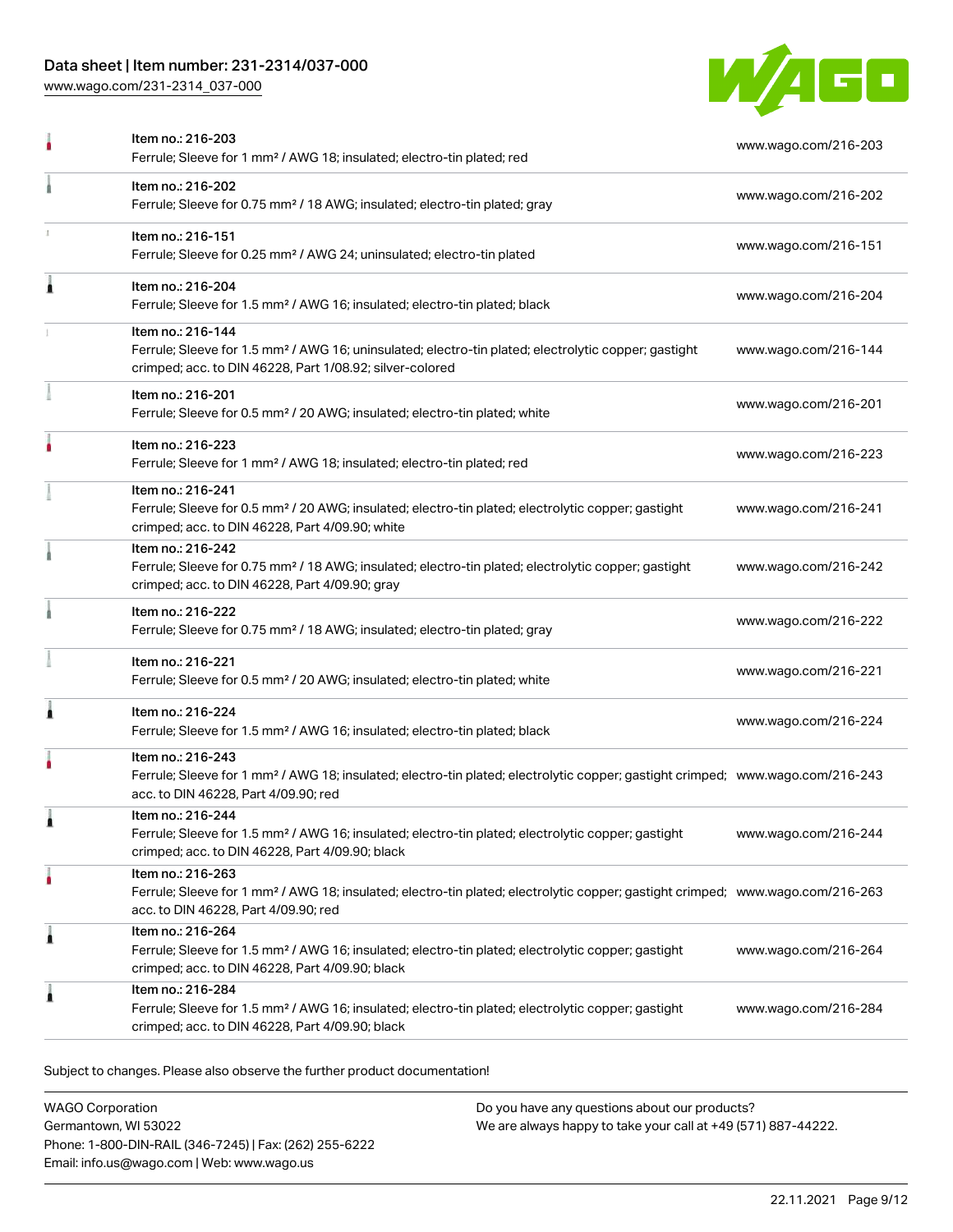### Data sheet | Item number: 231-2314/037-000

[www.wago.com/231-2314\\_037-000](http://www.wago.com/231-2314_037-000)



|   | Item no.: 216-203<br>Ferrule; Sleeve for 1 mm <sup>2</sup> / AWG 18; insulated; electro-tin plated; red                                                                                                 | www.wago.com/216-203 |
|---|---------------------------------------------------------------------------------------------------------------------------------------------------------------------------------------------------------|----------------------|
|   | Item no.: 216-202<br>Ferrule; Sleeve for 0.75 mm <sup>2</sup> / 18 AWG; insulated; electro-tin plated; gray                                                                                             | www.wago.com/216-202 |
|   | Item no.: 216-151<br>Ferrule; Sleeve for 0.25 mm <sup>2</sup> / AWG 24; uninsulated; electro-tin plated                                                                                                 | www.wago.com/216-151 |
| Â | Item no.: 216-204<br>Ferrule; Sleeve for 1.5 mm <sup>2</sup> / AWG 16; insulated; electro-tin plated; black                                                                                             | www.wago.com/216-204 |
|   | Item no.: 216-144<br>Ferrule; Sleeve for 1.5 mm <sup>2</sup> / AWG 16; uninsulated; electro-tin plated; electrolytic copper; gastight<br>crimped; acc. to DIN 46228, Part 1/08.92; silver-colored       | www.wago.com/216-144 |
|   | Item no.: 216-201<br>Ferrule; Sleeve for 0.5 mm <sup>2</sup> / 20 AWG; insulated; electro-tin plated; white                                                                                             | www.wago.com/216-201 |
|   | Item no.: 216-223<br>Ferrule; Sleeve for 1 mm <sup>2</sup> / AWG 18; insulated; electro-tin plated; red                                                                                                 | www.wago.com/216-223 |
|   | Item no.: 216-241<br>Ferrule; Sleeve for 0.5 mm <sup>2</sup> / 20 AWG; insulated; electro-tin plated; electrolytic copper; gastight<br>crimped; acc. to DIN 46228, Part 4/09.90; white                  | www.wago.com/216-241 |
|   | Item no.: 216-242<br>Ferrule; Sleeve for 0.75 mm <sup>2</sup> / 18 AWG; insulated; electro-tin plated; electrolytic copper; gastight<br>crimped; acc. to DIN 46228, Part 4/09.90; gray                  | www.wago.com/216-242 |
|   | Item no.: 216-222<br>Ferrule; Sleeve for 0.75 mm <sup>2</sup> / 18 AWG; insulated; electro-tin plated; gray                                                                                             | www.wago.com/216-222 |
|   | Item no.: 216-221<br>Ferrule; Sleeve for 0.5 mm <sup>2</sup> / 20 AWG; insulated; electro-tin plated; white                                                                                             | www.wago.com/216-221 |
| Â | Item no.: 216-224<br>Ferrule; Sleeve for 1.5 mm <sup>2</sup> / AWG 16; insulated; electro-tin plated; black                                                                                             | www.wago.com/216-224 |
|   | Item no.: 216-243<br>Ferrule; Sleeve for 1 mm <sup>2</sup> / AWG 18; insulated; electro-tin plated; electrolytic copper; gastight crimped; www.wago.com/216-243<br>acc. to DIN 46228, Part 4/09.90; red |                      |
|   | Item no.: 216-244<br>Ferrule; Sleeve for 1.5 mm <sup>2</sup> / AWG 16; insulated; electro-tin plated; electrolytic copper; gastight<br>crimped; acc. to DIN 46228, Part 4/09.90; black                  | www.wago.com/216-244 |
|   | Item no.: 216-263<br>Ferrule; Sleeve for 1 mm <sup>2</sup> / AWG 18; insulated; electro-tin plated; electrolytic copper; gastight crimped; www.wago.com/216-263<br>acc. to DIN 46228, Part 4/09.90; red |                      |
| 1 | Item no.: 216-264<br>Ferrule; Sleeve for 1.5 mm <sup>2</sup> / AWG 16; insulated; electro-tin plated; electrolytic copper; gastight<br>crimped; acc. to DIN 46228, Part 4/09.90; black                  | www.wago.com/216-264 |
| ı | Item no.: 216-284<br>Ferrule; Sleeve for 1.5 mm <sup>2</sup> / AWG 16; insulated; electro-tin plated; electrolytic copper; gastight<br>crimped; acc. to DIN 46228, Part 4/09.90; black                  | www.wago.com/216-284 |

Subject to changes. Please also observe the further product documentation!

WAGO Corporation Germantown, WI 53022 Phone: 1-800-DIN-RAIL (346-7245) | Fax: (262) 255-6222 Email: info.us@wago.com | Web: www.wago.us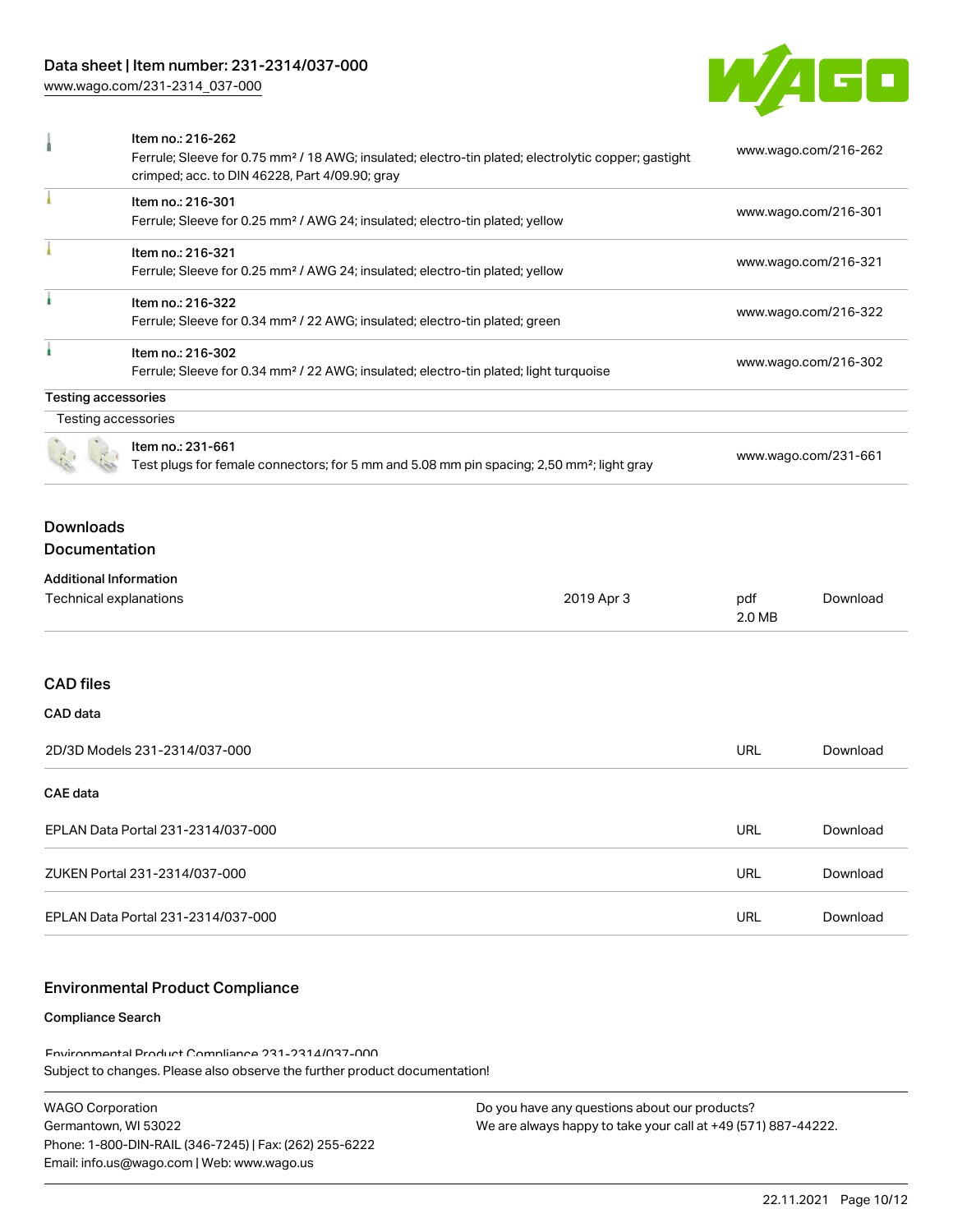### Data sheet | Item number: 231-2314/037-000

[www.wago.com/231-2314\\_037-000](http://www.wago.com/231-2314_037-000)



| 1                                                       | Item no.: 216-262<br>Ferrule; Sleeve for 0.75 mm <sup>2</sup> / 18 AWG; insulated; electro-tin plated; electrolytic copper; gastight<br>crimped; acc. to DIN 46228, Part 4/09.90; gray |            | www.wago.com/216-262 |                      |  |
|---------------------------------------------------------|----------------------------------------------------------------------------------------------------------------------------------------------------------------------------------------|------------|----------------------|----------------------|--|
|                                                         | Item no.: 216-301<br>Ferrule; Sleeve for 0.25 mm <sup>2</sup> / AWG 24; insulated; electro-tin plated; yellow                                                                          |            | www.wago.com/216-301 |                      |  |
|                                                         | Item no.: 216-321<br>Ferrule; Sleeve for 0.25 mm <sup>2</sup> / AWG 24; insulated; electro-tin plated; yellow                                                                          |            | www.wago.com/216-321 |                      |  |
| ł                                                       | Item no.: 216-322<br>Ferrule; Sleeve for 0.34 mm <sup>2</sup> / 22 AWG; insulated; electro-tin plated; green                                                                           |            |                      | www.wago.com/216-322 |  |
|                                                         | Item no.: 216-302<br>www.wago.com/216-302<br>Ferrule; Sleeve for 0.34 mm <sup>2</sup> / 22 AWG; insulated; electro-tin plated; light turquoise                                         |            |                      |                      |  |
| <b>Testing accessories</b>                              |                                                                                                                                                                                        |            |                      |                      |  |
|                                                         | Testing accessories<br>Item no.: 231-661<br>Test plugs for female connectors; for 5 mm and 5.08 mm pin spacing; 2,50 mm <sup>2</sup> ; light gray                                      |            |                      | www.wago.com/231-661 |  |
| <b>Downloads</b><br>Documentation                       |                                                                                                                                                                                        |            |                      |                      |  |
| <b>Additional Information</b><br>Technical explanations |                                                                                                                                                                                        | 2019 Apr 3 | pdf<br>2.0 MB        | Download             |  |
| <b>CAD files</b>                                        |                                                                                                                                                                                        |            |                      |                      |  |
| CAD data                                                |                                                                                                                                                                                        |            |                      |                      |  |
| 2D/3D Models 231-2314/037-000                           |                                                                                                                                                                                        |            | <b>URL</b>           | Download             |  |
| <b>CAE</b> data                                         |                                                                                                                                                                                        |            |                      |                      |  |
| EPLAN Data Portal 231-2314/037-000                      |                                                                                                                                                                                        |            | <b>URL</b>           | Download             |  |
| ZUKEN Portal 231-2314/037-000                           |                                                                                                                                                                                        |            | <b>URL</b>           | Download             |  |
| EPLAN Data Portal 231-2314/037-000                      |                                                                                                                                                                                        |            | URL                  | Download             |  |

### Environmental Product Compliance

#### Compliance Search

Subject to changes. Please also observe the further product documentation! Environmental Product Compliance 231-2314/037-000

| <b>WAGO Corporation</b>                                |
|--------------------------------------------------------|
| Germantown. WI 53022                                   |
| Phone: 1-800-DIN-RAIL (346-7245)   Fax: (262) 255-6222 |
| Email: info.us@waqo.com   Web: www.waqo.us             |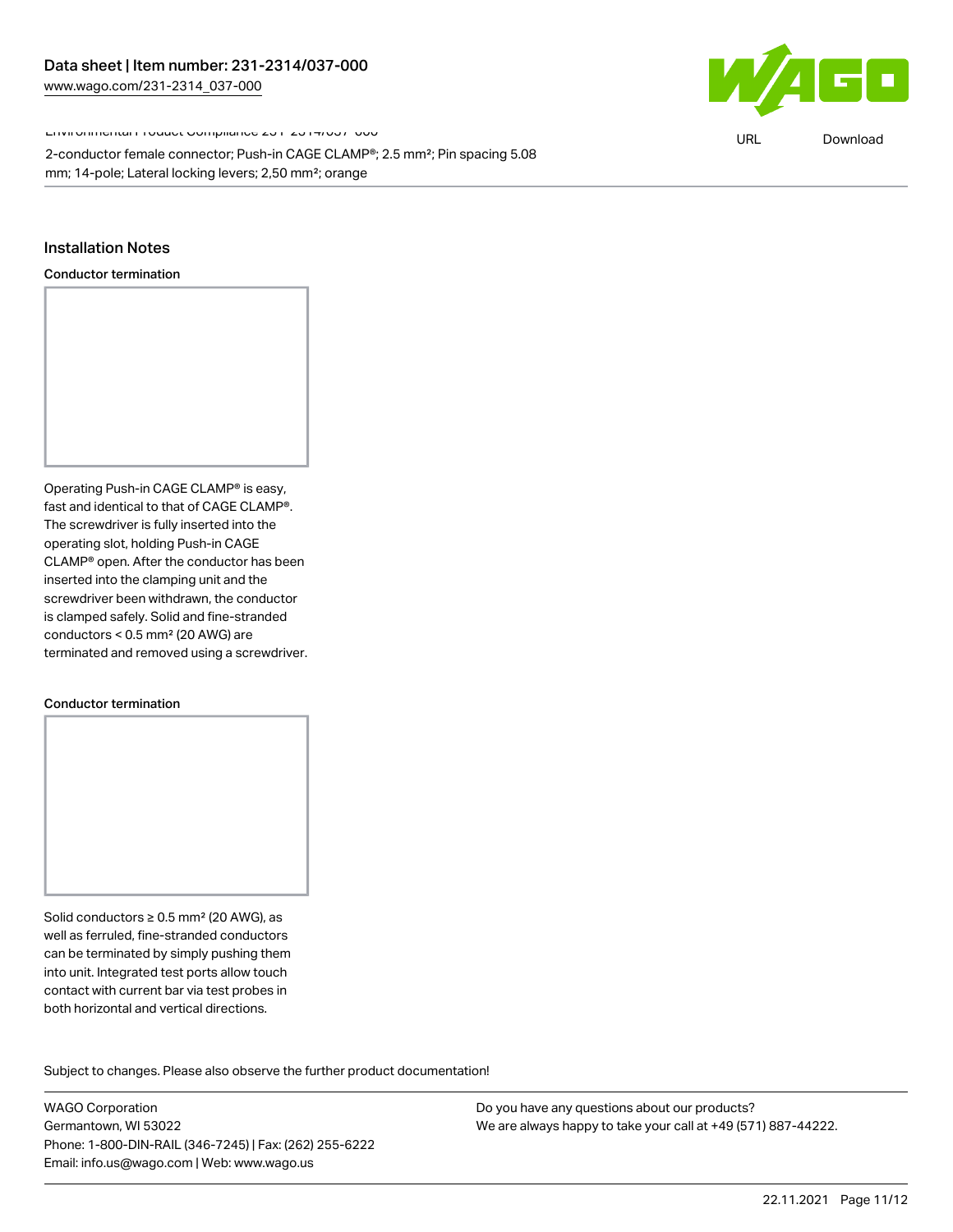Environmental Product Compliance 231-2314/037-000

2-conductor female connector; Push-in CAGE CLAMP®; 2.5 mm²; Pin spacing 5.08 mm; 14-pole; Lateral locking levers; 2,50 mm²; orange

### Installation Notes

Conductor termination

Operating Push-in CAGE CLAMP® is easy, fast and identical to that of CAGE CLAMP®. The screwdriver is fully inserted into the operating slot, holding Push-in CAGE CLAMP® open. After the conductor has been inserted into the clamping unit and the screwdriver been withdrawn, the conductor is clamped safely. Solid and fine-stranded conductors < 0.5 mm² (20 AWG) are terminated and removed using a screwdriver.

#### Conductor termination

Solid conductors ≥ 0.5 mm<sup>2</sup> (20 AWG), as well as ferruled, fine-stranded conductors can be terminated by simply pushing them into unit. Integrated test ports allow touch contact with current bar via test probes in both horizontal and vertical directions.

Subject to changes. Please also observe the further product documentation! Product family

WAGO Corporation Germantown, WI 53022 Phone: 1-800-DIN-RAIL (346-7245) | Fax: (262) 255-6222 Email: info.us@wago.com | Web: www.wago.us

Do you have any questions about our products? We are always happy to take your call at +49 (571) 887-44222.



URL [Download](https://www.wago.com/global/d/ComplianceLinkMediaContainer_231-2314_037-000)